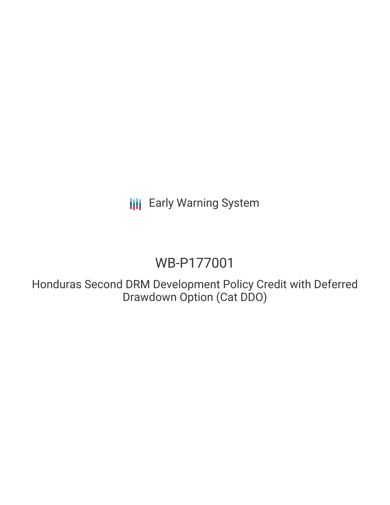**III** Early Warning System

# WB-P177001

Honduras Second DRM Development Policy Credit with Deferred Drawdown Option (Cat DDO)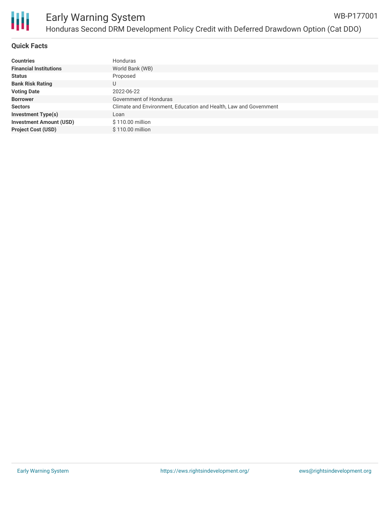

## **Quick Facts**

| <b>Countries</b>               | Honduras                                                          |
|--------------------------------|-------------------------------------------------------------------|
| <b>Financial Institutions</b>  | World Bank (WB)                                                   |
| <b>Status</b>                  | Proposed                                                          |
| <b>Bank Risk Rating</b>        | U                                                                 |
| <b>Voting Date</b>             | 2022-06-22                                                        |
| <b>Borrower</b>                | Government of Honduras                                            |
| <b>Sectors</b>                 | Climate and Environment, Education and Health, Law and Government |
| <b>Investment Type(s)</b>      | Loan                                                              |
| <b>Investment Amount (USD)</b> | \$110.00 million                                                  |
| <b>Project Cost (USD)</b>      | \$110.00 million                                                  |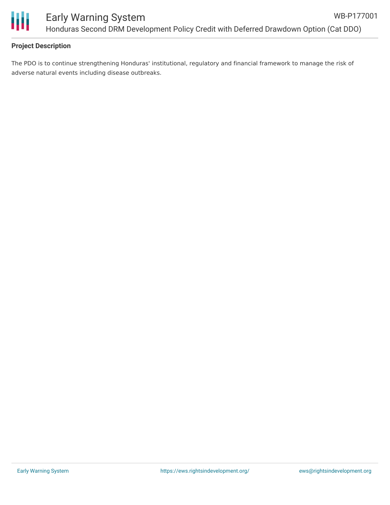

# **Project Description**

The PDO is to continue strengthening Honduras' institutional, regulatory and financial framework to manage the risk of adverse natural events including disease outbreaks.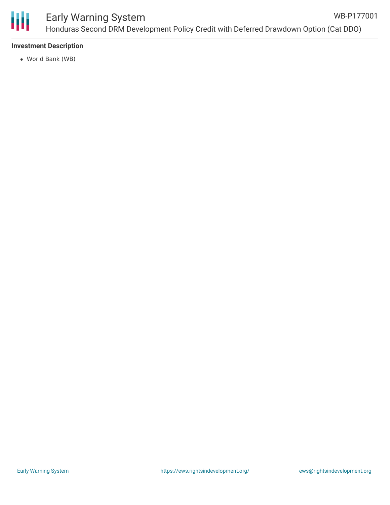

#### Early Warning System Honduras Second DRM Development Policy Credit with Deferred Drawdown Option (Cat DDO) WB-P177001

#### **Investment Description**

World Bank (WB)